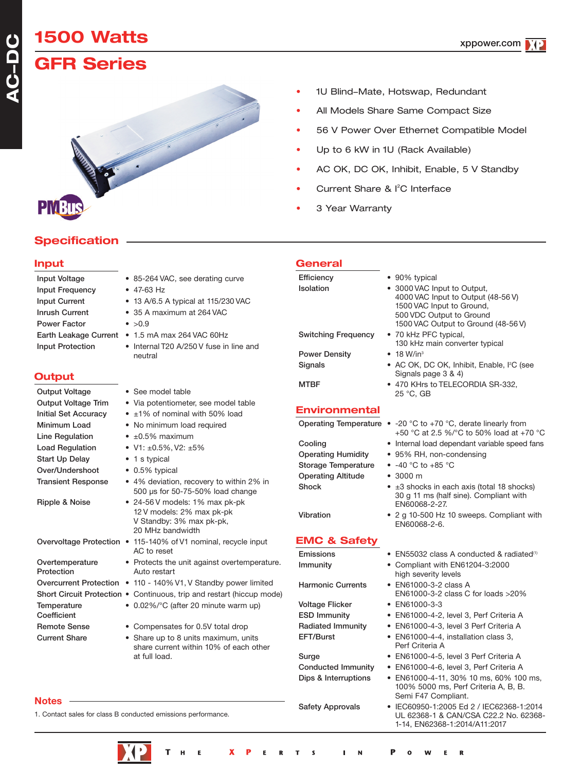### **A C-DC**

# **1500 Watts**

## **GFR Series**



#### • 1U Blind-Mate, Hotswap, Redundant

- All Models Share Same Compact Size
- 56 V Power Over Ethernet Compatible Model
- Up to 6 kW in 1U (Rack Available)
- AC OK, DC OK, Inhibit, Enable, 5 V Standby
- Current Share & I<sup>2</sup>C Interface
- 3 Year Warranty

### **Specification**

#### **Input**

| <b>Input Voltage</b>    |
|-------------------------|
|                         |
| <b>Input Frequency</b>  |
| <b>Input Current</b>    |
| Inrush Current          |
| <b>Power Factor</b>     |
| Earth Leakage Curre     |
| <b>Input Protection</b> |
|                         |

#### **Output**

**Notes**

| <b>Output Voltage</b>         | • See model table                                                                                                 |
|-------------------------------|-------------------------------------------------------------------------------------------------------------------|
| <b>Output Voltage Trim</b>    | • Via potentiometer, see mo                                                                                       |
| <b>Initial Set Accuracy</b>   | $\cdot$ ±1% of nominal with 50%                                                                                   |
| Minimum Load                  | • No minimum load required                                                                                        |
| Line Regulation               | $\bullet$ $\pm 0.5\%$ maximum                                                                                     |
| <b>Load Regulation</b>        | • $V1: \pm 0.5\%$ , V2: $\pm 5\%$                                                                                 |
| Start Up Delay                | • 1 s typical                                                                                                     |
| Over/Undershoot               | • 0.5% typical                                                                                                    |
| <b>Transient Response</b>     | • 4% deviation, recovery to<br>500 µs for 50-75-50% load                                                          |
| Ripple & Noise                | $\bullet$ 24-56 V models: 1% max $\mu$<br>12 V models: 2% max pk-p<br>V Standby: 3% max pk-pk<br>20 MHz bandwidth |
|                               | Overvoltage Protection • 115-140% of V1 nominal, re-<br>AC to reset                                               |
| Overtemperature<br>Protection | • Protects the unit against o<br>Auto restart                                                                     |
| <b>Overcurrent Protection</b> | • 110 - 140% V1, V Standby                                                                                        |
|                               | Short Circuit Protection . Continuous, trip and restar                                                            |
| Temperature<br>Coefficient    | • 0.02%/°C (after 20 minute                                                                                       |
| <b>Remote Sense</b>           | • Compensates for 0.5V tota                                                                                       |
| <b>Current Share</b>          | • Share up to 8 units maxim<br>share current within 10% o                                                         |

#### $• 47-63 Hz$  $\bullet$  13 A/6.5 A typical at 115/230 VAC • 35 A maximum at 264 VAC  $\bullet > 0.9$  $ent \cdot 1.5$  mA max 264 VAC 60Hz

• 85-264 VAC, see derating curve

• Internal T20 A/250 V fuse in line and neutral

- e model table 50% load
- 
- 
- $\gamma$  to within 2% in load change nax pk-pk

#### pk-pk k-pk, nal, recycle input

- nst overtemperature.
	- dby power limited
		- estart (hiccup mode)
			- inute warm up)
			- V total drop
			- aximum, units 0% of each other at full load.

#### **General**

| <b>Efficiency</b>            | • 90% typical                                                                                                                                                     |
|------------------------------|-------------------------------------------------------------------------------------------------------------------------------------------------------------------|
| Isolation                    | • 3000 VAC Input to Output,<br>4000 VAC Input to Output (48-56 V)<br>1500 VAC Input to Ground,<br>500 VDC Output to Ground<br>1500 VAC Output to Ground (48-56 V) |
| <b>Switching Frequency</b>   | • 70 kHz PFC typical,<br>130 kHz main converter typical                                                                                                           |
| <b>Power Density</b>         | $\bullet$ 18 W/in <sup>3</sup>                                                                                                                                    |
| Signals                      | • AC OK, DC OK, Inhibit, Enable, I <sup>2</sup> C (see<br>Signals page 3 & 4)                                                                                     |
| <b>MTBF</b>                  | • 470 KHrs to TELECORDIA SR-332.<br>25 °C. GB                                                                                                                     |
| <b>Environmental</b>         |                                                                                                                                                                   |
| <b>Operating Temperature</b> | • -20 °C to +70 °C, derate linearly from<br>+50 °C at 2.5 %/°C to 50% load at +70 °C                                                                              |
| Cooling                      | • Internal load dependant variable speed fans                                                                                                                     |
| <b>Operating Humidity</b>    | • 95% RH, non-condensing                                                                                                                                          |
| Storage Temperature          | $\bullet$ -40 °C to +85 °C                                                                                                                                        |
|                              |                                                                                                                                                                   |

- Operating Altitude 3000 m
- Shock ±3 shocks in each axis (total 18 shocks) 30 g 11 ms (half sine). Compliant with EN60068-2-27.
- Vibration 2 g 10-500 Hz 10 sweeps. Compliant with EN60068-2-6.

#### **EMC & Safety**

Harmonic Currents • EN61000-3-2 class A

Voltage Flicker • EN61000-3-3

- Emissions EN55032 class A conducted & radiated<sup>(1)</sup>
- Immunity Compliant with EN61204-3:2000 high severity levels
	- EN61000-3-2 class C for loads >20%
	-
- ESD Immunity EN61000-4-2, level 3, Perf Criteria A
- Radiated Immunity EN61000-4-3, level 3 Perf Criteria A
- EFT/Burst EN61000-4-4, installation class 3, Perf Criteria A
- Surge EN61000-4-5, level 3 Perf Criteria A
- Conducted Immunity EN61000-4-6, level 3, Perf Criteria A
- Dips & Interruptions EN61000-4-11, 30% 10 ms, 60% 100 ms, 100% 5000 ms, Perf Criteria A, B, B. Semi F47 Compliant.
- Safety Approvals IEC60950-1:2005 Ed 2 / IEC62368-1:2014 UL 62368-1 & CAN/CSA C22.2 No. 62368- 1-14, EN62368-1:2014/A11:2017

1. Contact sales for class B conducted emissions performance.

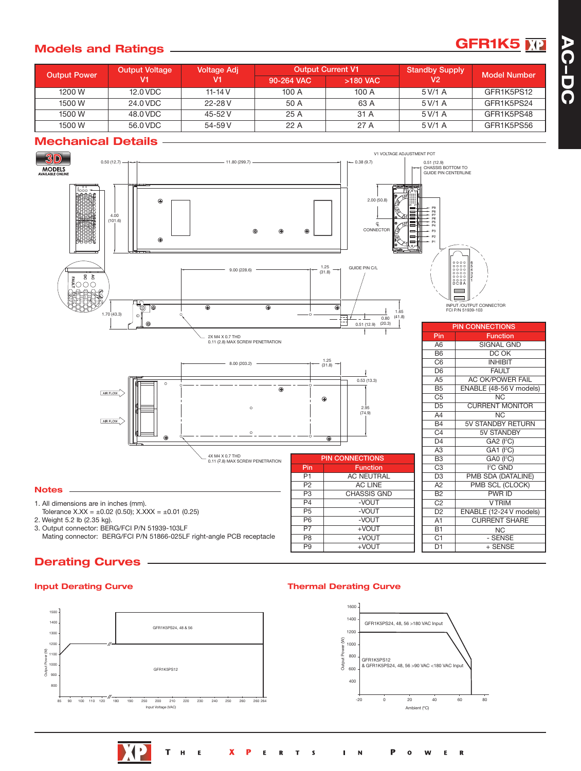### **GFR1K5 A**<sup>1</sup>

#### **Models and Ratings**

| <b>Output Power</b> | <b>Output Voltage</b><br>V1 | Voltage Adj |            | <b>Output Current V1</b> | <b>Standby Supply</b> | <b>Model Number</b> |
|---------------------|-----------------------------|-------------|------------|--------------------------|-----------------------|---------------------|
|                     |                             |             | 90-264 VAC | >180 VAC                 | V2                    |                     |
| 1200 W              | 12.0 VDC                    | 11-14 $V$   | 100 A      | 100 A                    | 5 V/1 A               | GFR1K5PS12          |
| 1500 W              | 24.0 VDC                    | 22-28 V     | 50 A       | 63 A                     | 5 V/1 A               | GFR1K5PS24          |
| 1500 W              | 48.0 VDC                    | 45-52 V     | 25A        | 31 A                     | 5 V/1 A               | GFR1K5PS48          |
| 1500 W              | 56.0 VDC                    | 54-59 V     | 22A        | 27 A                     | 5 V/1 A               | GFR1K5PS56          |

#### **Mechanical Details**



#### **Derating Curves**

#### **Input Derating Curve**

 $\overline{\phantom{a}}$ 



#### **Thermal Derating Curve**

P9 +VOUT



D1 + SENSE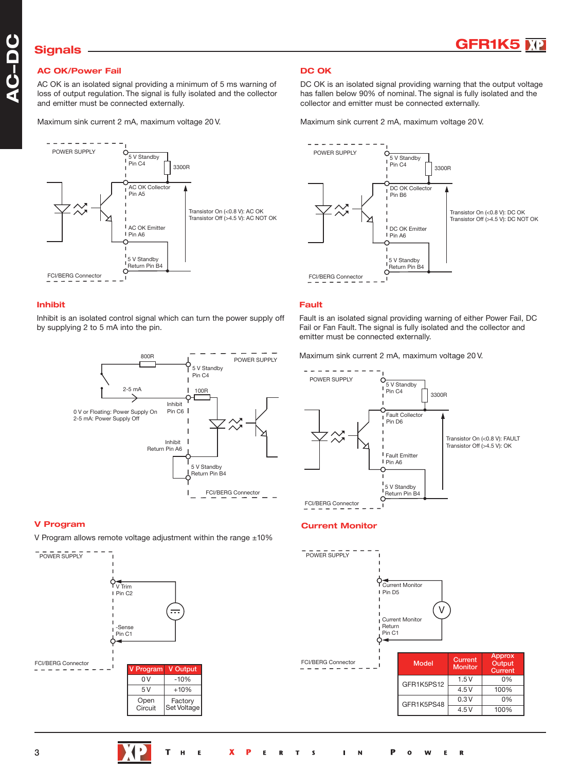

### **Signals**

#### **AC OK/Power Fail** P

AC OK is an isolated signal providing a minimum of 5 ms warning of loss of output regulation. The signal is fully isolated and the collector and emitter must be connected externally.

Maximum sink current 2 mA, maximum voltage 20 V.



#### **Inhibit**

 P by supplying 2 to 5 mA into the pin. Inhibit is an isolated control signal which can turn the power supply off



#### **V Program**

V Program allows remote voltage adjustment within the range  $\pm 10\%$ 



#### **DC OK**

DC OK is an isolated signal providing warning that the output voltage has fallen below 90% of nominal. The signal is fully isolated and the collector and emitter must be connected externally.

Maximum sink current 2 mA, maximum voltage 20 V.



#### **Fault**

emitter must be connected externally. Fault is an isolated signal providing warning of either Power Fail, DC Fail or Fan Fault. The signal is fully isolated and the collector and

Maximum sink current 2 mA, maximum voltage 20 V.



#### **Current Monitor**